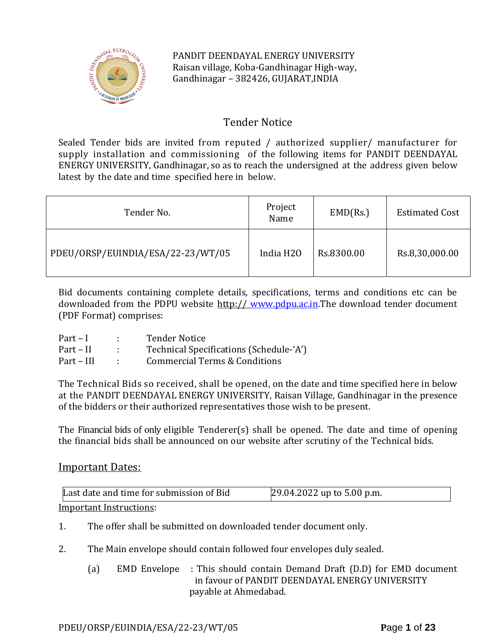

# Tender Notice

Sealed Tender bids are invited from reputed / authorized supplier/ manufacturer for supply installation and commissioning of the following items for PANDIT DEENDAYAL ENERGY UNIVERSITY, Gandhinagar, so as to reach the undersigned at the address given below latest by the date and time specified here in below.

| Tender No.                        | Project<br>Name       | EMD(Rs.)   | <b>Estimated Cost</b> |
|-----------------------------------|-----------------------|------------|-----------------------|
| PDEU/ORSP/EUINDIA/ESA/22-23/WT/05 | India H <sub>20</sub> | Rs.8300.00 | Rs.8,30,000.00        |

Bid documents containing complete details, specifications, terms and conditions etc can be downloaded from the PDPU website http:// [www.pdpu.ac.in.](http://www.pdpu.ac.in/)The download tender document (PDF Format) comprises:

| $Part-I$   | <b>Tender Notice</b>                    |
|------------|-----------------------------------------|
| Part – II  | Technical Specifications (Schedule-'A') |
| Part – III | Commercial Terms & Conditions           |

The Technical Bids so received, shall be opened, on the date and time specified here in below at the PANDIT DEENDAYAL ENERGY UNIVERSITY, Raisan Village, Gandhinagar in the presence of the bidders or their authorized representatives those wish to be present.

The Financial bids of only eligible Tenderer(s) shall be opened. The date and time of opening the financial bids shall be announced on our website after scrutiny of the Technical bids.

## Important Dates:

| Last date and time for submission of Bid | 29.04.2022 up to 5.00 p.m. |
|------------------------------------------|----------------------------|
| <u>Important Instructions:</u>           |                            |

- 1. The offer shall be submitted on downloaded tender document only.
- 2. The Main envelope should contain followed four envelopes duly sealed.
	- (a) EMD Envelope : This should contain Demand Draft (D.D) for EMD document in favour of PANDIT DEENDAYAL ENERGY UNIVERSITY payable at Ahmedabad.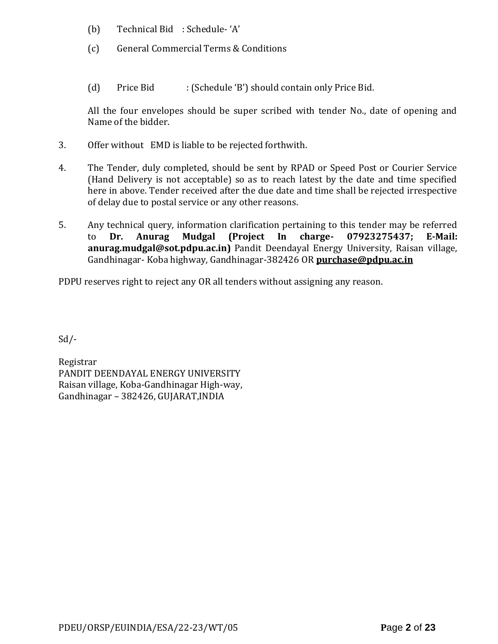- (b) Technical Bid : Schedule- 'A'
- (c) General Commercial Terms & Conditions
- (d) Price Bid : (Schedule 'B') should contain only Price Bid.

All the four envelopes should be super scribed with tender No., date of opening and Name of the bidder.

- 3. Offer without EMD is liable to be rejected forthwith.
- 4. The Tender, duly completed, should be sent by RPAD or Speed Post or Courier Service (Hand Delivery is not acceptable) so as to reach latest by the date and time specified here in above. Tender received after the due date and time shall be rejected irrespective of delay due to postal service or any other reasons.
- 5. Any technical query, information clarification pertaining to this tender may be referred to **Dr. Anurag Mudgal (Project In charge- 07923275437; E-Mail: [anurag.mudgal@sot.pdpu.ac.in\)](mailto:anurag.mudgal@sot.pdpu.ac.in)** Pandit Deendayal Energy University, Raisan village, Gandhinagar- Koba highway, Gandhinagar-382426 OR **purchase@pdpu.ac.in**

PDPU reserves right to reject any OR all tenders without assigning any reason.

 $Sd$  /-

Registrar PANDIT DEENDAYAL ENERGY UNIVERSITY Raisan village, Koba-Gandhinagar High-way, Gandhinagar – 382426, GUJARAT,INDIA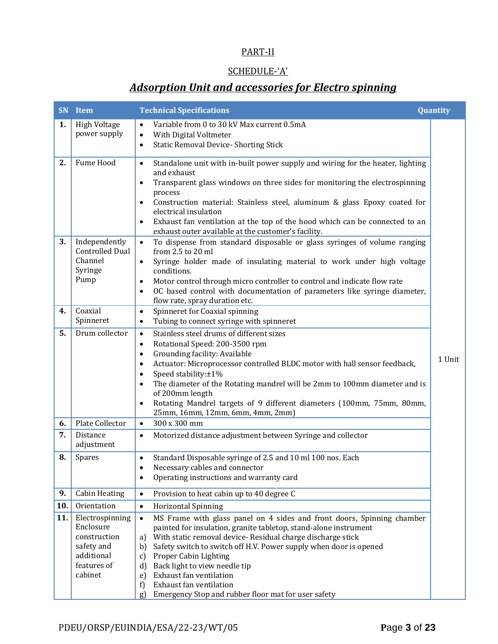# PART-II

# SCHEDULE-'A'

# *Adsorption Unit and accessories for Electro spinning*

| SN  | Item                                                                                               | <b>Technical Specifications</b>                                                                                                                                                                                                                                                                                                                                                                                                                                                                                                 | Quantity |
|-----|----------------------------------------------------------------------------------------------------|---------------------------------------------------------------------------------------------------------------------------------------------------------------------------------------------------------------------------------------------------------------------------------------------------------------------------------------------------------------------------------------------------------------------------------------------------------------------------------------------------------------------------------|----------|
| 1.  | <b>High Voltage</b><br>power supply                                                                | Variable from 0 to 30 kV Max current 0.5mA<br>$\bullet$<br>With Digital Voltmeter<br>$\bullet$<br><b>Static Removal Device- Shorting Stick</b><br>$\bullet$                                                                                                                                                                                                                                                                                                                                                                     |          |
| 2.  | Fume Hood                                                                                          | Standalone unit with in-built power supply and wiring for the heater, lighting<br>$\bullet$<br>and exhaust<br>Transparent glass windows on three sides for monitoring the electrospinning<br>$\bullet$<br>process<br>Construction material: Stainless steel, aluminum & glass Epoxy coated for<br>$\bullet$<br>electrical insulation<br>Exhaust fan ventilation at the top of the hood which can be connected to an<br>$\bullet$<br>exhaust outer available at the customer's facility.                                         |          |
| 3.  | Independently<br><b>Controlled Dual</b><br>Channel<br>Syringe<br>Pump                              | To dispense from standard disposable or glass syringes of volume ranging<br>$\bullet$<br>from 2.5 to 20 ml<br>Syringe holder made of insulating material to work under high voltage<br>$\bullet$<br>conditions.<br>Motor control through micro controller to control and indicate flow rate<br>$\bullet$<br>OC based control with documentation of parameters like syringe diameter,<br>$\bullet$<br>flow rate, spray duration etc.                                                                                             |          |
| 4.  | Coaxial<br>Spinneret                                                                               | Spinneret for Coaxial spinning<br>$\bullet$<br>Tubing to connect syringe with spinneret<br>$\bullet$                                                                                                                                                                                                                                                                                                                                                                                                                            |          |
| 5.  | Drum collector                                                                                     | Stainless steel drums of different sizes<br>$\bullet$<br>Rotational Speed: 200-3500 rpm<br>$\bullet$<br>Grounding facility: Available<br>$\bullet$<br>Actuator: Microprocessor controlled BLDC motor with hall sensor feedback,<br>$\bullet$<br>Speed stability:±1%<br>$\bullet$<br>The diameter of the Rotating mandrel will be 2mm to 100mm diameter and is<br>$\bullet$<br>of 200mm length<br>Rotating Mandrel targets of 9 different diameters (100mm, 75mm, 80mm,<br>25mm, 16mm, 12mm, 6mm, 4mm, 2mm)                      | 1 Unit   |
| 6.  | <b>Plate Collector</b>                                                                             | 300 x 300 mm<br>$\bullet$                                                                                                                                                                                                                                                                                                                                                                                                                                                                                                       |          |
| 7.  | Distance<br>adjustment                                                                             | Motorized distance adjustment between Syringe and collector<br>$\bullet$                                                                                                                                                                                                                                                                                                                                                                                                                                                        |          |
| 8.  | Spares                                                                                             | Standard Disposable syringe of 2.5 and 10 ml 100 nos. Each<br>$\bullet$<br>Necessary cables and connector<br>Operating instructions and warranty card<br>$\bullet$                                                                                                                                                                                                                                                                                                                                                              |          |
| 9.  | <b>Cabin Heating</b>                                                                               | Provision to heat cabin up to 40 degree C<br>$\bullet$                                                                                                                                                                                                                                                                                                                                                                                                                                                                          |          |
| 10. | Orientation                                                                                        | <b>Horizontal Spinning</b><br>$\bullet$                                                                                                                                                                                                                                                                                                                                                                                                                                                                                         |          |
| 11. | Electrospinning<br>Enclosure<br>construction<br>safety and<br>additional<br>features of<br>cabinet | MS Frame with glass panel on 4 sides and front doors, Spinning chamber<br>$\bullet$<br>painted for insulation, granite tabletop, stand-alone instrument<br>With static removal device-Residual charge discharge stick<br>a)<br>Safety switch to switch off H.V. Power supply when door is opened<br>b)<br>Proper Cabin Lighting<br>$\mathbf{c}$<br>Back light to view needle tip<br>$\mathbf{d}$<br>Exhaust fan ventilation<br>e)<br>Exhaust fan ventilation<br>f)<br>Emergency Stop and rubber floor mat for user safety<br>g) |          |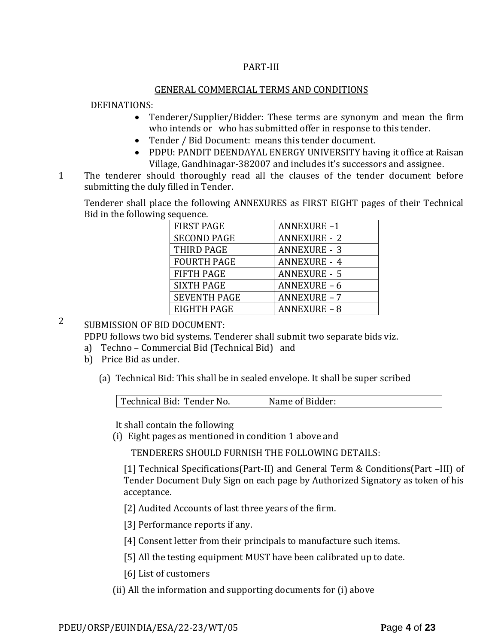### PART-III

#### GENERAL COMMERCIAL TERMS AND CONDITIONS

#### DEFINATIONS:

- Tenderer/Supplier/Bidder: These terms are synonym and mean the firm who intends or who has submitted offer in response to this tender.
- Tender / Bid Document: means this tender document.
- PDPU: PANDIT DEENDAYAL ENERGY UNIVERSITY having it office at Raisan Village, Gandhinagar-382007 and includes it's successors and assignee.
- 1 The tenderer should thoroughly read all the clauses of the tender document before submitting the duly filled in Tender.

Tenderer shall place the following ANNEXURES as FIRST EIGHT pages of their Technical Bid in the following sequence.

| <b>FIRST PAGE</b>   | <b>ANNEXURE-1</b>   |
|---------------------|---------------------|
| <b>SECOND PAGE</b>  | <b>ANNEXURE - 2</b> |
| THIRD PAGE          | <b>ANNEXURE - 3</b> |
| <b>FOURTH PAGE</b>  | <b>ANNEXURE - 4</b> |
| <b>FIFTH PAGE</b>   | <b>ANNEXURE - 5</b> |
| <b>SIXTH PAGE</b>   | <b>ANNEXURE - 6</b> |
| <b>SEVENTH PAGE</b> | <b>ANNEXURE - 7</b> |
| EIGHTH PAGE         | <b>ANNEXURE - 8</b> |

# 2 SUBMISSION OF BID DOCUMENT:

PDPU follows two bid systems. Tenderer shall submit two separate bids viz.

- a) Techno Commercial Bid (Technical Bid) and
- b) Price Bid as under.
	- (a) Technical Bid: This shall be in sealed envelope. It shall be super scribed

| Technical Bid: Tender No. | Name of Bidder: |  |
|---------------------------|-----------------|--|
|                           |                 |  |

It shall contain the following

(i) Eight pages as mentioned in condition 1 above and

TENDERERS SHOULD FURNISH THE FOLLOWING DETAILS:

[1] Technical Specifications(Part-II) and General Term & Conditions(Part –III) of Tender Document Duly Sign on each page by Authorized Signatory as token of his acceptance.

[2] Audited Accounts of last three years of the firm.

[3] Performance reports if any.

[4] Consent letter from their principals to manufacture such items.

[5] All the testing equipment MUST have been calibrated up to date.

[6] List of customers

(ii) All the information and supporting documents for (i) above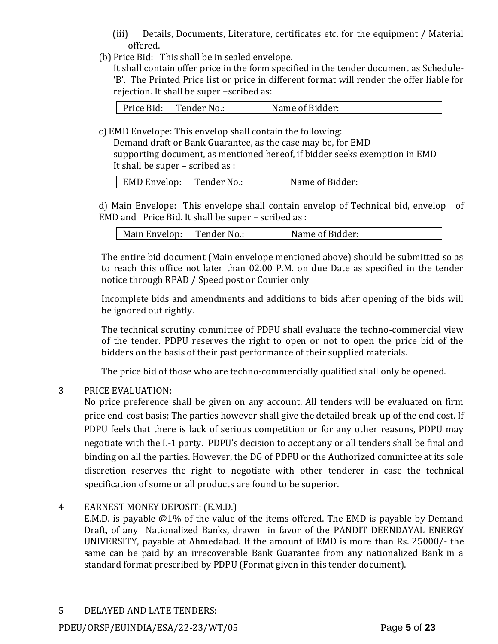- (iii) Details, Documents, Literature, certificates etc. for the equipment / Material offered.
- (b) Price Bid: This shall be in sealed envelope.

It shall contain offer price in the form specified in the tender document as Schedule- 'B'. The Printed Price list or price in different format will render the offer liable for rejection. It shall be super –scribed as:

c) EMD Envelope: This envelop shall contain the following:

Demand draft or Bank Guarantee, as the case may be, for EMD supporting document, as mentioned hereof, if bidder seeks exemption in EMD It shall be super – scribed as :

| EMD Envelop:<br>Name of Bidder:<br>Tender No.: |  |
|------------------------------------------------|--|

d) Main Envelope: This envelope shall contain envelop of Technical bid, envelop of EMD and Price Bid. It shall be super – scribed as :

| Name of Bidder:<br>Main Envelop:<br>Tender No.: |
|-------------------------------------------------|
|-------------------------------------------------|

The entire bid document (Main envelope mentioned above) should be submitted so as to reach this office not later than 02.00 P.M. on due Date as specified in the tender notice through RPAD / Speed post or Courier only

Incomplete bids and amendments and additions to bids after opening of the bids will be ignored out rightly.

The technical scrutiny committee of PDPU shall evaluate the techno-commercial view of the tender. PDPU reserves the right to open or not to open the price bid of the bidders on the basis of their past performance of their supplied materials.

The price bid of those who are techno-commercially qualified shall only be opened.

## 3 PRICE EVALUATION:

No price preference shall be given on any account. All tenders will be evaluated on firm price end-cost basis; The parties however shall give the detailed break-up of the end cost. If PDPU feels that there is lack of serious competition or for any other reasons, PDPU may negotiate with the L-1 party. PDPU's decision to accept any or all tenders shall be final and binding on all the parties. However, the DG of PDPU or the Authorized committee at its sole discretion reserves the right to negotiate with other tenderer in case the technical specification of some or all products are found to be superior.

## 4 EARNEST MONEY DEPOSIT: (E.M.D.)

E.M.D. is payable @1% of the value of the items offered. The EMD is payable by Demand Draft, of any Nationalized Banks, drawn in favor of the PANDIT DEENDAYAL ENERGY UNIVERSITY, payable at Ahmedabad. If the amount of EMD is more than Rs. 25000/- the same can be paid by an irrecoverable Bank Guarantee from any nationalized Bank in a standard format prescribed by PDPU (Format given in this tender document).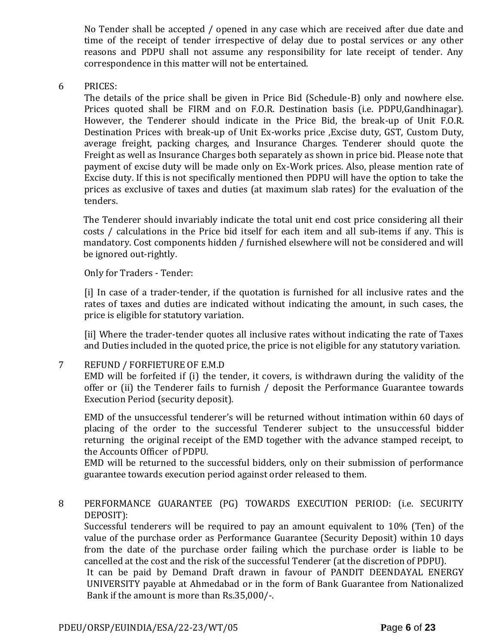No Tender shall be accepted / opened in any case which are received after due date and time of the receipt of tender irrespective of delay due to postal services or any other reasons and PDPU shall not assume any responsibility for late receipt of tender. Any correspondence in this matter will not be entertained.

#### 6 PRICES:

The details of the price shall be given in Price Bid (Schedule-B) only and nowhere else. Prices quoted shall be FIRM and on F.O.R. Destination basis (i.e. PDPU,Gandhinagar). However, the Tenderer should indicate in the Price Bid, the break-up of Unit F.O.R. Destination Prices with break-up of Unit Ex-works price ,Excise duty, GST, Custom Duty, average freight, packing charges, and Insurance Charges. Tenderer should quote the Freight as well as Insurance Charges both separately as shown in price bid. Please note that payment of excise duty will be made only on Ex-Work prices. Also, please mention rate of Excise duty. If this is not specifically mentioned then PDPU will have the option to take the prices as exclusive of taxes and duties (at maximum slab rates) for the evaluation of the tenders.

The Tenderer should invariably indicate the total unit end cost price considering all their costs / calculations in the Price bid itself for each item and all sub-items if any. This is mandatory. Cost components hidden / furnished elsewhere will not be considered and will be ignored out-rightly.

#### Only for Traders - Tender:

[i] In case of a trader-tender, if the quotation is furnished for all inclusive rates and the rates of taxes and duties are indicated without indicating the amount, in such cases, the price is eligible for statutory variation.

[ii] Where the trader-tender quotes all inclusive rates without indicating the rate of Taxes and Duties included in the quoted price, the price is not eligible for any statutory variation.

#### 7 REFUND / FORFIETURE OF E.M.D

EMD will be forfeited if (i) the tender, it covers, is withdrawn during the validity of the offer or (ii) the Tenderer fails to furnish / deposit the Performance Guarantee towards Execution Period (security deposit).

EMD of the unsuccessful tenderer's will be returned without intimation within 60 days of placing of the order to the successful Tenderer subject to the unsuccessful bidder returning the original receipt of the EMD together with the advance stamped receipt, to the Accounts Officer of PDPU.

EMD will be returned to the successful bidders, only on their submission of performance guarantee towards execution period against order released to them.

## 8 PERFORMANCE GUARANTEE (PG) TOWARDS EXECUTION PERIOD: (i.e. SECURITY DEPOSIT):

Successful tenderers will be required to pay an amount equivalent to 10% (Ten) of the value of the purchase order as Performance Guarantee (Security Deposit) within 10 days from the date of the purchase order failing which the purchase order is liable to be cancelled at the cost and the risk of the successful Tenderer (at the discretion of PDPU).

It can be paid by Demand Draft drawn in favour of PANDIT DEENDAYAL ENERGY UNIVERSITY payable at Ahmedabad or in the form of Bank Guarantee from Nationalized Bank if the amount is more than Rs.35,000/-.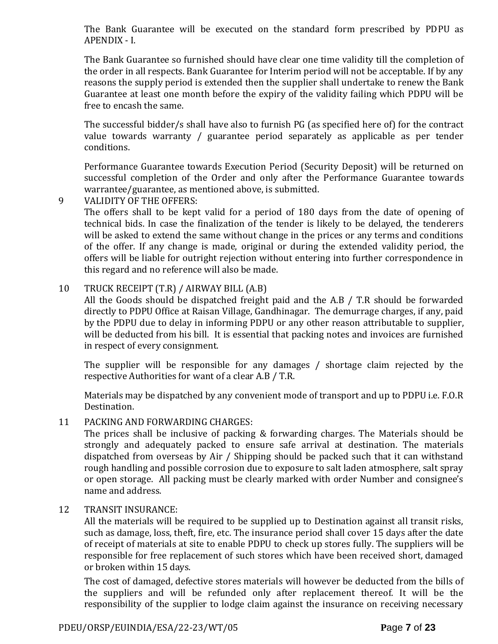The Bank Guarantee will be executed on the standard form prescribed by PDPU as APENDIX - I.

The Bank Guarantee so furnished should have clear one time validity till the completion of the order in all respects. Bank Guarantee for Interim period will not be acceptable. If by any reasons the supply period is extended then the supplier shall undertake to renew the Bank Guarantee at least one month before the expiry of the validity failing which PDPU will be free to encash the same.

The successful bidder/s shall have also to furnish PG (as specified here of) for the contract value towards warranty / guarantee period separately as applicable as per tender conditions.

Performance Guarantee towards Execution Period (Security Deposit) will be returned on successful completion of the Order and only after the Performance Guarantee towards warrantee/guarantee, as mentioned above, is submitted.

9 VALIDITY OF THE OFFERS:

The offers shall to be kept valid for a period of 180 days from the date of opening of technical bids. In case the finalization of the tender is likely to be delayed, the tenderers will be asked to extend the same without change in the prices or any terms and conditions of the offer. If any change is made, original or during the extended validity period, the offers will be liable for outright rejection without entering into further correspondence in this regard and no reference will also be made.

## 10 TRUCK RECEIPT (T.R) / AIRWAY BILL (A.B)

All the Goods should be dispatched freight paid and the A.B / T.R should be forwarded directly to PDPU Office at Raisan Village, Gandhinagar. The demurrage charges, if any, paid by the PDPU due to delay in informing PDPU or any other reason attributable to supplier, will be deducted from his bill. It is essential that packing notes and invoices are furnished in respect of every consignment.

The supplier will be responsible for any damages / shortage claim rejected by the respective Authorities for want of a clear A.B / T.R.

Materials may be dispatched by any convenient mode of transport and up to PDPU i.e. F.O.R Destination.

#### 11 PACKING AND FORWARDING CHARGES:

The prices shall be inclusive of packing & forwarding charges. The Materials should be strongly and adequately packed to ensure safe arrival at destination. The materials dispatched from overseas by Air / Shipping should be packed such that it can withstand rough handling and possible corrosion due to exposure to salt laden atmosphere, salt spray or open storage. All packing must be clearly marked with order Number and consignee's name and address.

#### 12 TRANSIT INSURANCE:

All the materials will be required to be supplied up to Destination against all transit risks, such as damage, loss, theft, fire, etc. The insurance period shall cover 15 days after the date of receipt of materials at site to enable PDPU to check up stores fully. The suppliers will be responsible for free replacement of such stores which have been received short, damaged or broken within 15 days.

The cost of damaged, defective stores materials will however be deducted from the bills of the suppliers and will be refunded only after replacement thereof. It will be the responsibility of the supplier to lodge claim against the insurance on receiving necessary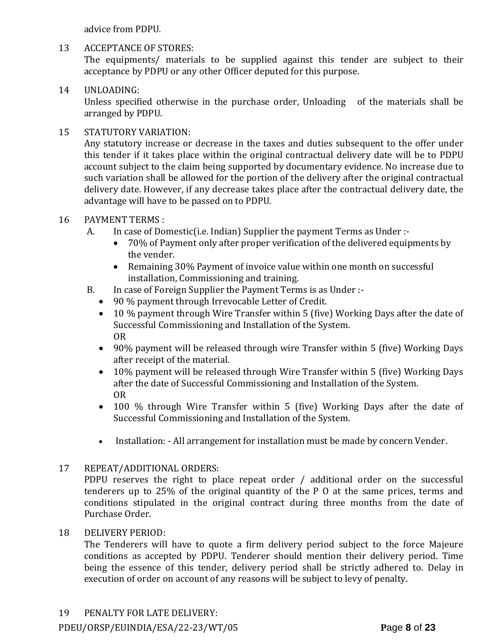advice from PDPU.

## 13 ACCEPTANCE OF STORES:

The equipments/ materials to be supplied against this tender are subject to their acceptance by PDPU or any other Officer deputed for this purpose.

# 14 UNLOADING:

Unless specified otherwise in the purchase order, Unloading of the materials shall be arranged by PDPU.

# 15 STATUTORY VARIATION:

Any statutory increase or decrease in the taxes and duties subsequent to the offer under this tender if it takes place within the original contractual delivery date will be to PDPU account subject to the claim being supported by documentary evidence. No increase due to such variation shall be allowed for the portion of the delivery after the original contractual delivery date. However, if any decrease takes place after the contractual delivery date, the advantage will have to be passed on to PDPU.

## 16 PAYMENT TERMS :

- A. In case of Domestic(i.e. Indian) Supplier the payment Terms as Under :-
	- 70% of Payment only after proper verification of the delivered equipments by the vender.
	- Remaining 30% Payment of invoice value within one month on successful installation, Commissioning and training.
- B. In case of Foreign Supplier the Payment Terms is as Under :-
	- 90 % payment through Irrevocable Letter of Credit.
	- 10 % payment through Wire Transfer within 5 (five) Working Days after the date of Successful Commissioning and Installation of the System. OR
	- 90% payment will be released through wire Transfer within 5 (five) Working Days after receipt of the material.
	- 10% payment will be released through Wire Transfer within 5 (five) Working Days after the date of Successful Commissioning and Installation of the System. OR
	- 100 % through Wire Transfer within 5 (five) Working Days after the date of Successful Commissioning and Installation of the System.
	- Installation: All arrangement for installation must be made by concern Vender.

## 17 REPEAT/ADDITIONAL ORDERS:

PDPU reserves the right to place repeat order / additional order on the successful tenderers up to 25% of the original quantity of the P O at the same prices, terms and conditions stipulated in the original contract during three months from the date of Purchase Order.

## 18 DELIVERY PERIOD:

The Tenderers will have to quote a firm delivery period subject to the force Majeure conditions as accepted by PDPU. Tenderer should mention their delivery period. Time being the essence of this tender, delivery period shall be strictly adhered to. Delay in execution of order on account of any reasons will be subject to levy of penalty.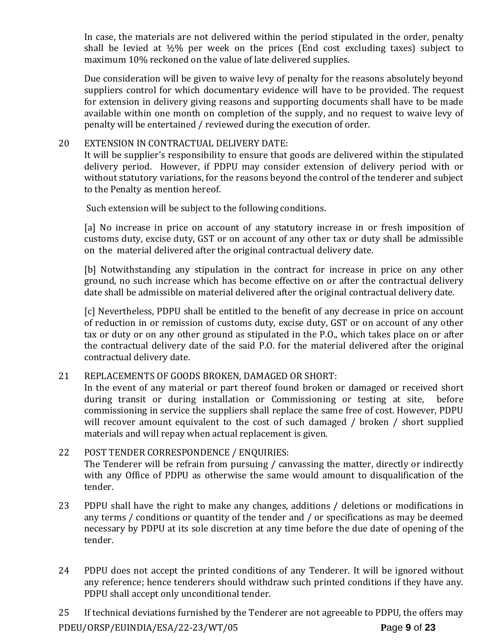In case, the materials are not delivered within the period stipulated in the order, penalty shall be levied at  $\frac{1}{2}\%$  per week on the prices (End cost excluding taxes) subject to maximum 10% reckoned on the value of late delivered supplies.

Due consideration will be given to waive levy of penalty for the reasons absolutely beyond suppliers control for which documentary evidence will have to be provided. The request for extension in delivery giving reasons and supporting documents shall have to be made available within one month on completion of the supply, and no request to waive levy of penalty will be entertained / reviewed during the execution of order.

### 20 EXTENSION IN CONTRACTUAL DELIVERY DATE:

It will be supplier's responsibility to ensure that goods are delivered within the stipulated delivery period. However, if PDPU may consider extension of delivery period with or without statutory variations, for the reasons beyond the control of the tenderer and subject to the Penalty as mention hereof.

Such extension will be subject to the following conditions.

[a] No increase in price on account of any statutory increase in or fresh imposition of customs duty, excise duty, GST or on account of any other tax or duty shall be admissible on the material delivered after the original contractual delivery date.

[b] Notwithstanding any stipulation in the contract for increase in price on any other ground, no such increase which has become effective on or after the contractual delivery date shall be admissible on material delivered after the original contractual delivery date.

[c] Nevertheless, PDPU shall be entitled to the benefit of any decrease in price on account of reduction in or remission of customs duty, excise duty, GST or on account of any other tax or duty or on any other ground as stipulated in the P.O., which takes place on or after the contractual delivery date of the said P.O. for the material delivered after the original contractual delivery date.

#### 21 REPLACEMENTS OF GOODS BROKEN, DAMAGED OR SHORT:

In the event of any material or part thereof found broken or damaged or received short during transit or during installation or Commissioning or testing at site, before commissioning in service the suppliers shall replace the same free of cost. However, PDPU will recover amount equivalent to the cost of such damaged / broken / short supplied materials and will repay when actual replacement is given.

- 22 POST TENDER CORRESPONDENCE / ENQUIRIES: The Tenderer will be refrain from pursuing / canvassing the matter, directly or indirectly with any Office of PDPU as otherwise the same would amount to disqualification of the tender.
- 23 PDPU shall have the right to make any changes, additions / deletions or modifications in any terms / conditions or quantity of the tender and / or specifications as may be deemed necessary by PDPU at its sole discretion at any time before the due date of opening of the tender.
- 24 PDPU does not accept the printed conditions of any Tenderer. It will be ignored without any reference; hence tenderers should withdraw such printed conditions if they have any. PDPU shall accept only unconditional tender.

PDEU/ORSP/EUINDIA/ESA/22-23/WT/05 **P**age **9** of **23** 25 If technical deviations furnished by the Tenderer are not agreeable to PDPU, the offers may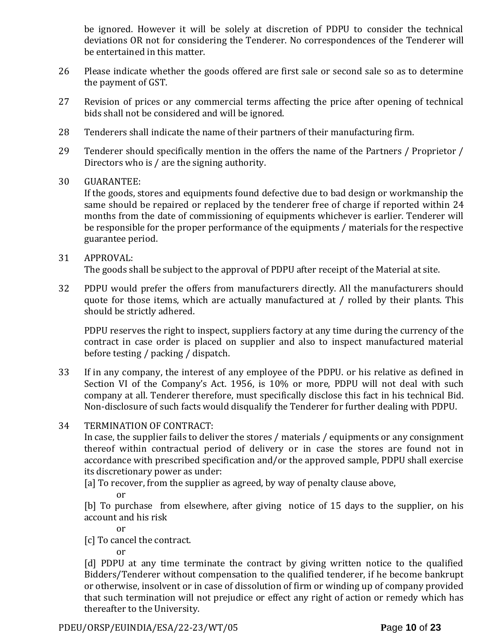be ignored. However it will be solely at discretion of PDPU to consider the technical deviations OR not for considering the Tenderer. No correspondences of the Tenderer will be entertained in this matter.

- 26 Please indicate whether the goods offered are first sale or second sale so as to determine the payment of GST.
- 27 Revision of prices or any commercial terms affecting the price after opening of technical bids shall not be considered and will be ignored.
- 28 Tenderers shall indicate the name of their partners of their manufacturing firm.
- 29 Tenderer should specifically mention in the offers the name of the Partners / Proprietor / Directors who is / are the signing authority.
- 30 GUARANTEE:

If the goods, stores and equipments found defective due to bad design or workmanship the same should be repaired or replaced by the tenderer free of charge if reported within 24 months from the date of commissioning of equipments whichever is earlier. Tenderer will be responsible for the proper performance of the equipments / materials for the respective guarantee period.

#### 31 APPROVAL: The goods shall be subject to the approval of PDPU after receipt of the Material at site.

32 PDPU would prefer the offers from manufacturers directly. All the manufacturers should quote for those items, which are actually manufactured at / rolled by their plants. This should be strictly adhered.

PDPU reserves the right to inspect, suppliers factory at any time during the currency of the contract in case order is placed on supplier and also to inspect manufactured material before testing / packing / dispatch.

- 33 If in any company, the interest of any employee of the PDPU. or his relative as defined in Section VI of the Company's Act. 1956, is 10% or more, PDPU will not deal with such company at all. Tenderer therefore, must specifically disclose this fact in his technical Bid. Non-disclosure of such facts would disqualify the Tenderer for further dealing with PDPU.
- 34 TERMINATION OF CONTRACT:

In case, the supplier fails to deliver the stores / materials / equipments or any consignment thereof within contractual period of delivery or in case the stores are found not in accordance with prescribed specification and/or the approved sample, PDPU shall exercise its discretionary power as under:

- [a] To recover, from the supplier as agreed, by way of penalty clause above,
	- or

[b] To purchase from elsewhere, after giving notice of 15 days to the supplier, on his account and his risk

or

[c] To cancel the contract.

or

[d] PDPU at any time terminate the contract by giving written notice to the qualified Bidders/Tenderer without compensation to the qualified tenderer, if he become bankrupt or otherwise, insolvent or in case of dissolution of firm or winding up of company provided that such termination will not prejudice or effect any right of action or remedy which has thereafter to the University.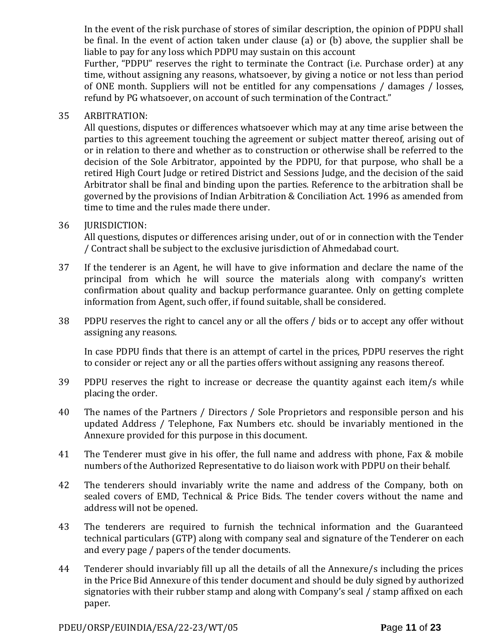In the event of the risk purchase of stores of similar description, the opinion of PDPU shall be final. In the event of action taken under clause (a) or (b) above, the supplier shall be liable to pay for any loss which PDPU may sustain on this account

Further, "PDPU" reserves the right to terminate the Contract (i.e. Purchase order) at any time, without assigning any reasons, whatsoever, by giving a notice or not less than period of ONE month. Suppliers will not be entitled for any compensations / damages / losses, refund by PG whatsoever, on account of such termination of the Contract."

### 35 ARBITRATION:

All questions, disputes or differences whatsoever which may at any time arise between the parties to this agreement touching the agreement or subject matter thereof, arising out of or in relation to there and whether as to construction or otherwise shall be referred to the decision of the Sole Arbitrator, appointed by the PDPU, for that purpose, who shall be a retired High Court Judge or retired District and Sessions Judge, and the decision of the said Arbitrator shall be final and binding upon the parties. Reference to the arbitration shall be governed by the provisions of Indian Arbitration & Conciliation Act. 1996 as amended from time to time and the rules made there under.

## 36 JURISDICTION:

All questions, disputes or differences arising under, out of or in connection with the Tender / Contract shall be subject to the exclusive jurisdiction of Ahmedabad court.

- 37 If the tenderer is an Agent, he will have to give information and declare the name of the principal from which he will source the materials along with company's written confirmation about quality and backup performance guarantee. Only on getting complete information from Agent, such offer, if found suitable, shall be considered.
- 38 PDPU reserves the right to cancel any or all the offers / bids or to accept any offer without assigning any reasons.

In case PDPU finds that there is an attempt of cartel in the prices, PDPU reserves the right to consider or reject any or all the parties offers without assigning any reasons thereof.

- 39 PDPU reserves the right to increase or decrease the quantity against each item/s while placing the order.
- 40 The names of the Partners / Directors / Sole Proprietors and responsible person and his updated Address / Telephone, Fax Numbers etc. should be invariably mentioned in the Annexure provided for this purpose in this document.
- 41 The Tenderer must give in his offer, the full name and address with phone, Fax & mobile numbers of the Authorized Representative to do liaison work with PDPU on their behalf.
- 42 The tenderers should invariably write the name and address of the Company, both on sealed covers of EMD, Technical & Price Bids. The tender covers without the name and address will not be opened.
- 43 The tenderers are required to furnish the technical information and the Guaranteed technical particulars (GTP) along with company seal and signature of the Tenderer on each and every page / papers of the tender documents.
- 44 Tenderer should invariably fill up all the details of all the Annexure/s including the prices in the Price Bid Annexure of this tender document and should be duly signed by authorized signatories with their rubber stamp and along with Company's seal / stamp affixed on each paper.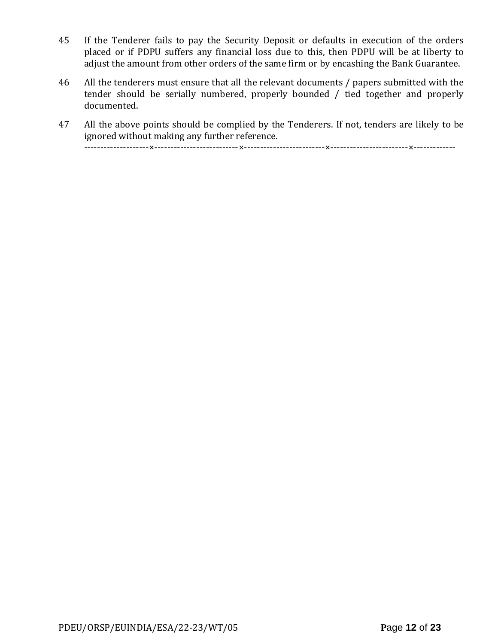- 45 If the Tenderer fails to pay the Security Deposit or defaults in execution of the orders placed or if PDPU suffers any financial loss due to this, then PDPU will be at liberty to adjust the amount from other orders of the same firm or by encashing the Bank Guarantee.
- 46 All the tenderers must ensure that all the relevant documents / papers submitted with the tender should be serially numbered, properly bounded / tied together and properly documented.
- 47 All the above points should be complied by the Tenderers. If not, tenders are likely to be ignored without making any further reference.

--------------------×--------------------------×-------------------------×------------------------×-------------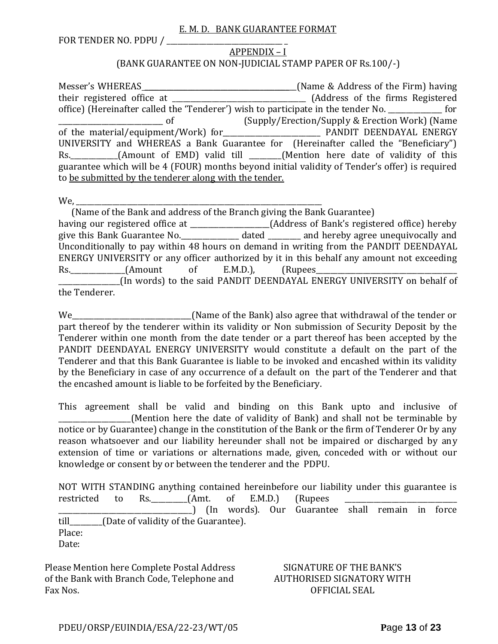#### E. M. D. BANK GUARANTEE FORMAT

FOR TENDER NO. PDPU / \_\_\_\_\_\_\_\_\_\_\_\_\_\_\_\_\_\_\_\_\_\_\_\_\_\_\_\_\_\_\_\_ \_

#### APPENDIX – I (BANK GUARANTEE ON NON-JUDICIAL STAMP PAPER OF Rs.100/-)

Messer's WHEREAS \_\_\_\_\_\_\_\_\_\_\_\_\_\_\_\_\_\_\_\_\_\_\_\_\_\_\_\_\_\_\_\_\_\_\_\_\_\_\_\_\_\_(Name & Address of the Firm) having their registered office at \_\_\_\_\_\_\_\_\_\_\_\_\_\_\_\_\_\_\_\_\_\_\_\_\_\_\_\_\_\_\_\_\_\_\_\_\_ (Address of the firms Registered office) (Hereinafter called the 'Tenderer') wish to participate in the tender No. \_\_\_\_\_\_\_\_\_\_\_\_\_\_\_ for \_\_\_\_\_\_\_\_\_\_\_\_\_\_\_\_\_\_\_\_\_\_\_\_\_\_\_\_\_ of (Supply/Erection/Supply & Erection Work) (Name of the material/equipment/Work) for\_\_\_\_\_\_\_\_\_\_\_\_\_\_\_\_\_\_\_\_\_\_\_\_\_\_\_ PANDIT DEENDAYAL ENERGY UNIVERSITY and WHEREAS a Bank Guarantee for (Hereinafter called the "Beneficiary") Rs. \_\_\_\_\_\_\_\_\_\_(Amount of EMD) valid till \_\_\_\_\_\_(Mention here date of validity of this guarantee which will be 4 (FOUR) months beyond initial validity of Tender's offer) is required to be submitted by the tenderer along with the tender.

We,

 (Name of the Bank and address of the Branch giving the Bank Guarantee) having our registered office at \_\_\_\_\_\_\_\_\_\_\_\_\_\_\_\_\_\_\_\_\_\_(Address of Bank's registered office) hereby give this Bank Guarantee No.\_\_\_\_\_\_\_\_\_\_\_\_\_\_\_\_ dated \_\_\_\_\_\_\_\_\_ and hereby agree unequivocally and Unconditionally to pay within 48 hours on demand in writing from the PANDIT DEENDAYAL ENERGY UNIVERSITY or any officer authorized by it in this behalf any amount not exceeding Rs. (Amount of E.M.D.), (Rupees \_\_\_\_\_\_\_\_\_\_\_\_\_\_\_\_\_(In words) to the said PANDIT DEENDAYAL ENERGY UNIVERSITY on behalf of the Tenderer.

We\_\_\_\_\_\_\_\_\_\_\_\_\_\_\_\_\_\_\_\_\_\_\_\_\_\_\_\_\_\_\_\_\_(Name of the Bank) also agree that withdrawal of the tender or part thereof by the tenderer within its validity or Non submission of Security Deposit by the Tenderer within one month from the date tender or a part thereof has been accepted by the PANDIT DEENDAYAL ENERGY UNIVERSITY would constitute a default on the part of the Tenderer and that this Bank Guarantee is liable to be invoked and encashed within its validity by the Beneficiary in case of any occurrence of a default on the part of the Tenderer and that the encashed amount is liable to be forfeited by the Beneficiary.

This agreement shall be valid and binding on this Bank upto and inclusive of (Mention here the date of validity of Bank) and shall not be terminable by notice or by Guarantee) change in the constitution of the Bank or the firm of Tenderer Or by any reason whatsoever and our liability hereunder shall not be impaired or discharged by any extension of time or variations or alternations made, given, conceded with or without our knowledge or consent by or between the tenderer and the PDPU.

NOT WITH STANDING anything contained hereinbefore our liability under this guarantee is restricted to Rs. \_\_\_\_\_\_\_\_(Amt. of E.M.D.) (Rupees \_\_\_\_\_\_\_\_\_\_\_\_\_\_\_\_\_\_\_\_\_\_\_\_\_\_\_\_\_\_\_\_\_\_\_\_\_) (In words). Our Guarantee shall remain in force till\_\_\_\_\_\_\_\_\_(Date of validity of the Guarantee). Place: Date:

Please Mention here Complete Postal Address of the Bank with Branch Code, Telephone and Fax Nos.

SIGNATURE OF THE BANK'S AUTHORISED SIGNATORY WITH OFFICIAL SEAL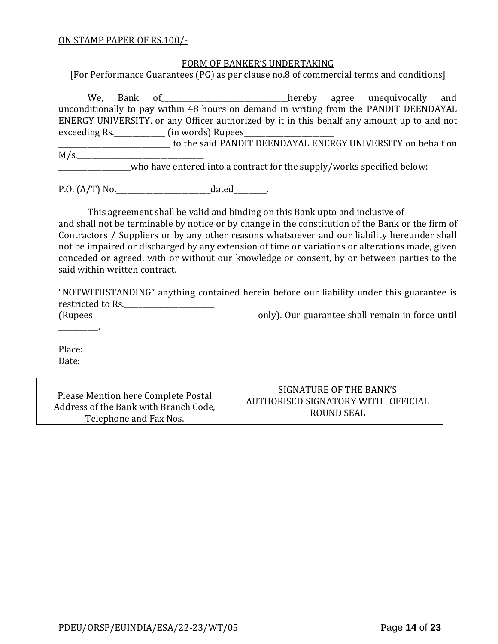#### ON STAMP PAPER OF RS.100/-

#### FORM OF BANKER'S UNDERTAKING

[For Performance Guarantees (PG) as per clause no.8 of commercial terms and conditions]

We, Bank of all and the end of the same of the same of the same of the same hereby agree unequivocally and unconditionally to pay within 48 hours on demand in writing from the PANDIT DEENDAYAL ENERGY UNIVERSITY. or any Officer authorized by it in this behalf any amount up to and not exceeding Rs.\_\_\_\_\_\_\_\_\_\_\_\_\_\_\_\_\_\_\_\_ (in words) Rupees\_

\_\_\_\_\_\_\_\_\_\_\_\_\_\_\_\_\_\_\_\_\_\_\_\_\_\_\_\_\_\_\_ to the said PANDIT DEENDAYAL ENERGY UNIVERSITY on behalf on  $M/s$ .

who have entered into a contract for the supply/works specified below:

P.O. (A/T) No.\_\_\_\_\_\_\_\_\_\_\_\_\_\_\_\_\_\_\_\_\_\_\_\_\_\_dated\_\_\_\_\_\_\_\_\_.

This agreement shall be valid and binding on this Bank upto and inclusive of \_\_\_\_\_\_\_\_\_\_

and shall not be terminable by notice or by change in the constitution of the Bank or the firm of Contractors / Suppliers or by any other reasons whatsoever and our liability hereunder shall not be impaired or discharged by any extension of time or variations or alterations made, given conceded or agreed, with or without our knowledge or consent, by or between parties to the said within written contract.

"NOTWITHSTANDING" anything contained herein before our liability under this guarantee is restricted to Rs.\_\_\_\_\_\_\_\_\_\_\_\_\_\_\_\_\_\_\_\_\_\_\_\_\_

(Rupees\_\_\_\_\_\_\_\_\_\_\_\_\_\_\_\_\_\_\_\_\_\_\_\_\_\_\_\_\_\_\_\_\_\_\_\_\_\_\_\_\_\_\_\_\_ only). Our guarantee shall remain in force until

Place: Date:

\_\_\_\_\_\_\_\_\_\_\_.

Please Mention here Complete Postal Address of the Bank with Branch Code, Telephone and Fax Nos.

SIGNATURE OF THE BANK'S AUTHORISED SIGNATORY WITH OFFICIAL ROUND SEAL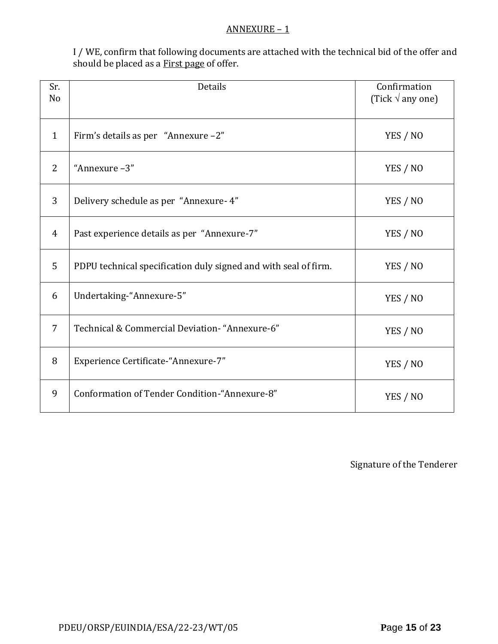#### ANNEXURE – 1

I / WE, confirm that following documents are attached with the technical bid of the offer and should be placed as a **First page** of offer.

| Sr.<br>N <sub>o</sub> | <b>Details</b>                                                  | Confirmation<br>(Tick $\sqrt{ }$ any one) |
|-----------------------|-----------------------------------------------------------------|-------------------------------------------|
| $\mathbf{1}$          | Firm's details as per "Annexure -2"                             | YES / NO                                  |
| 2                     | "Annexure-3"                                                    | YES / NO                                  |
| 3                     | Delivery schedule as per "Annexure- 4"                          | YES / NO                                  |
| $\overline{4}$        | Past experience details as per "Annexure-7"                     | YES / NO                                  |
| 5                     | PDPU technical specification duly signed and with seal of firm. | YES / NO                                  |
| 6                     | Undertaking-"Annexure-5"                                        | YES / NO                                  |
| $\overline{7}$        | Technical & Commercial Deviation- "Annexure-6"                  | YES / NO                                  |
| 8                     | Experience Certificate-"Annexure-7"                             | YES / NO                                  |
| 9                     | Conformation of Tender Condition-"Annexure-8"                   | YES / NO                                  |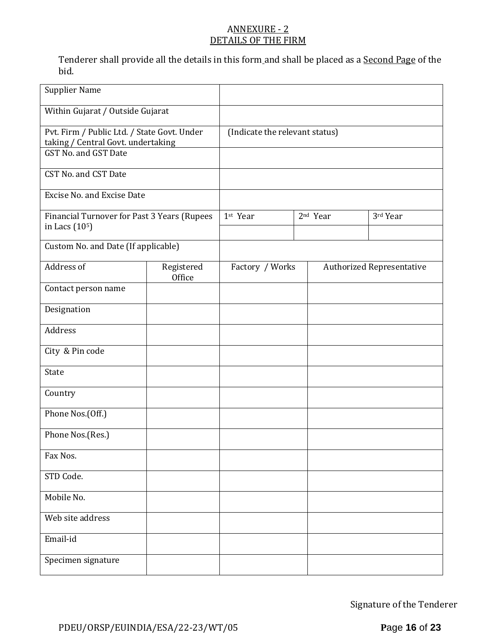## ANNEXURE - 2 DETAILS OF THE FIRM

Tenderer shall provide all the details in this form and shall be placed as a Second Page of the bid.

| <b>Supplier Name</b>                                                                                      |                      |                                |                      |                                  |
|-----------------------------------------------------------------------------------------------------------|----------------------|--------------------------------|----------------------|----------------------------------|
| Within Gujarat / Outside Gujarat                                                                          |                      |                                |                      |                                  |
| Pvt. Firm / Public Ltd. / State Govt. Under<br>taking / Central Govt. undertaking<br>GST No. and GST Date |                      | (Indicate the relevant status) |                      |                                  |
| CST No. and CST Date                                                                                      |                      |                                |                      |                                  |
| <b>Excise No. and Excise Date</b>                                                                         |                      |                                |                      |                                  |
| Financial Turnover for Past 3 Years (Rupees<br>in Lacs (10 <sup>5</sup> )                                 |                      | 1st Year                       | 2 <sup>nd</sup> Year | 3rd Year                         |
| Custom No. and Date (If applicable)                                                                       |                      |                                |                      |                                  |
| Address of                                                                                                | Registered<br>Office | Factory / Works                |                      | <b>Authorized Representative</b> |
| Contact person name                                                                                       |                      |                                |                      |                                  |
| Designation                                                                                               |                      |                                |                      |                                  |
| Address                                                                                                   |                      |                                |                      |                                  |
| City & Pin code                                                                                           |                      |                                |                      |                                  |
| State                                                                                                     |                      |                                |                      |                                  |
| Country                                                                                                   |                      |                                |                      |                                  |
| Phone Nos.(Off.)                                                                                          |                      |                                |                      |                                  |
| Phone Nos.(Res.)                                                                                          |                      |                                |                      |                                  |
| Fax Nos.                                                                                                  |                      |                                |                      |                                  |
| STD Code.                                                                                                 |                      |                                |                      |                                  |
| Mobile No.                                                                                                |                      |                                |                      |                                  |
| Web site address                                                                                          |                      |                                |                      |                                  |
| Email-id                                                                                                  |                      |                                |                      |                                  |
| Specimen signature                                                                                        |                      |                                |                      |                                  |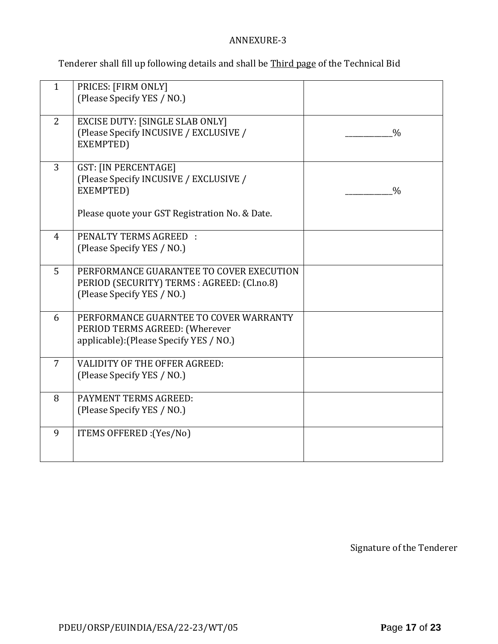## ANNEXURE-3

Tenderer shall fill up following details and shall be Third page of the Technical Bid

| $\mathbf{1}$   | PRICES: [FIRM ONLY]<br>(Please Specify YES / NO.)                                                                                    |               |
|----------------|--------------------------------------------------------------------------------------------------------------------------------------|---------------|
| 2              | <b>EXCISE DUTY: [SINGLE SLAB ONLY]</b><br>(Please Specify INCUSIVE / EXCLUSIVE /<br>EXEMPTED)                                        | $\frac{0}{0}$ |
| 3              | <b>GST: [IN PERCENTAGE]</b><br>(Please Specify INCUSIVE / EXCLUSIVE /<br>EXEMPTED)<br>Please quote your GST Registration No. & Date. | $\frac{0}{0}$ |
|                |                                                                                                                                      |               |
| $\overline{4}$ | <b>PENALTY TERMS AGREED:</b><br>(Please Specify YES / NO.)                                                                           |               |
| 5              | PERFORMANCE GUARANTEE TO COVER EXECUTION<br>PERIOD (SECURITY) TERMS : AGREED: (Cl.no.8)<br>(Please Specify YES / NO.)                |               |
| 6              | PERFORMANCE GUARNTEE TO COVER WARRANTY<br>PERIOD TERMS AGREED: (Wherever<br>applicable): (Please Specify YES / NO.)                  |               |
| $\overline{7}$ | <b>VALIDITY OF THE OFFER AGREED:</b><br>(Please Specify YES / NO.)                                                                   |               |
| 8              | PAYMENT TERMS AGREED:<br>(Please Specify YES / NO.)                                                                                  |               |
| 9              | ITEMS OFFERED : (Yes/No)                                                                                                             |               |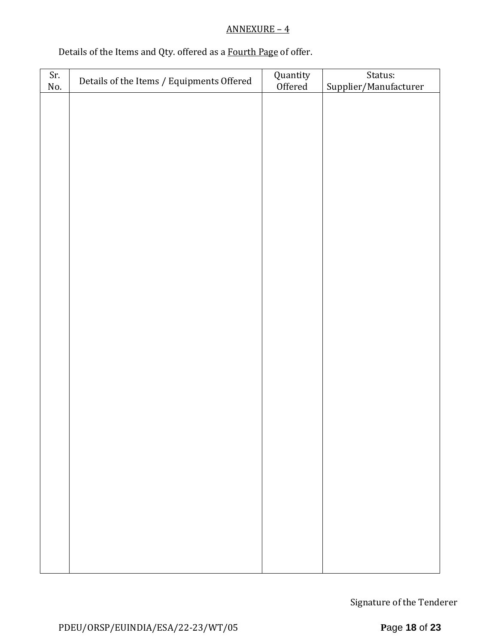# ANNEXURE – 4

# Details of the Items and Qty. offered as a Fourth Page of offer.

| Sr. | Details of the Items / Equipments Offered | Quantity<br>Offered   | Status: |  |  |  |
|-----|-------------------------------------------|-----------------------|---------|--|--|--|
| No. |                                           | Supplier/Manufacturer |         |  |  |  |
|     |                                           |                       |         |  |  |  |
|     |                                           |                       |         |  |  |  |
|     |                                           |                       |         |  |  |  |
|     |                                           |                       |         |  |  |  |
|     |                                           |                       |         |  |  |  |
|     |                                           |                       |         |  |  |  |
|     |                                           |                       |         |  |  |  |
|     |                                           |                       |         |  |  |  |
|     |                                           |                       |         |  |  |  |
|     |                                           |                       |         |  |  |  |
|     |                                           |                       |         |  |  |  |
|     |                                           |                       |         |  |  |  |
|     |                                           |                       |         |  |  |  |
|     |                                           |                       |         |  |  |  |
|     |                                           |                       |         |  |  |  |
|     |                                           |                       |         |  |  |  |
|     |                                           |                       |         |  |  |  |
|     |                                           |                       |         |  |  |  |
|     |                                           |                       |         |  |  |  |
|     |                                           |                       |         |  |  |  |
|     |                                           |                       |         |  |  |  |
|     |                                           |                       |         |  |  |  |
|     |                                           |                       |         |  |  |  |
|     |                                           |                       |         |  |  |  |
|     |                                           |                       |         |  |  |  |
|     |                                           |                       |         |  |  |  |
|     |                                           |                       |         |  |  |  |
|     |                                           |                       |         |  |  |  |
|     |                                           |                       |         |  |  |  |
|     |                                           |                       |         |  |  |  |
|     |                                           |                       |         |  |  |  |
|     |                                           |                       |         |  |  |  |
|     |                                           |                       |         |  |  |  |
|     |                                           |                       |         |  |  |  |
|     |                                           |                       |         |  |  |  |
|     |                                           |                       |         |  |  |  |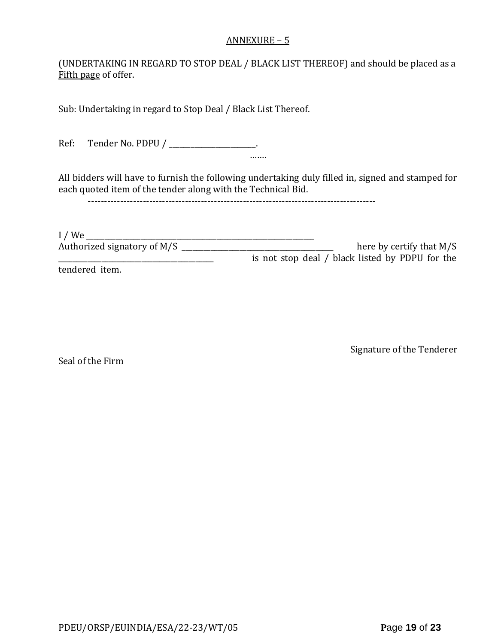#### ANNEXURE – 5

(UNDERTAKING IN REGARD TO STOP DEAL / BLACK LIST THEREOF) and should be placed as a Fifth page of offer.

Sub: Undertaking in regard to Stop Deal / Black List Thereof.

Ref: Tender No. PDPU / \_\_\_\_\_\_\_\_\_\_\_\_\_\_\_\_\_\_\_\_\_\_\_.

All bidders will have to furnish the following undertaking duly filled in, signed and stamped for each quoted item of the tender along with the Technical Bid.

…….

-----------------------------------------------------------------------------------------

I / We \_\_\_\_\_\_\_\_\_\_\_\_\_\_\_\_\_\_\_\_\_\_\_\_\_\_\_\_\_\_\_\_\_\_\_\_\_\_\_\_\_\_\_\_\_\_\_\_\_\_\_\_\_\_\_\_\_\_\_\_\_\_\_ Authorized signatory of M/S \_\_\_\_\_\_\_\_\_\_\_\_\_\_\_\_\_\_\_\_\_\_\_\_\_\_\_\_\_\_\_\_\_\_\_\_\_\_\_\_\_\_ here by certify that M/S \_\_\_\_\_\_\_\_\_\_\_\_\_\_\_\_\_\_\_\_\_\_\_\_\_\_\_\_\_\_\_\_\_\_\_\_\_\_\_\_\_\_\_ is not stop deal / black listed by PDPU for the tendered item.

Seal of the Firm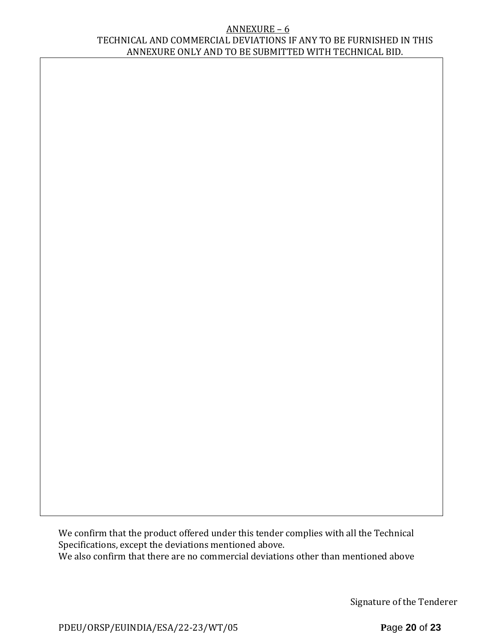#### ANNEXURE – 6 TECHNICAL AND COMMERCIAL DEVIATIONS IF ANY TO BE FURNISHED IN THIS ANNEXURE ONLY AND TO BE SUBMITTED WITH TECHNICAL BID.

We confirm that the product offered under this tender complies with all the Technical Specifications, except the deviations mentioned above. We also confirm that there are no commercial deviations other than mentioned above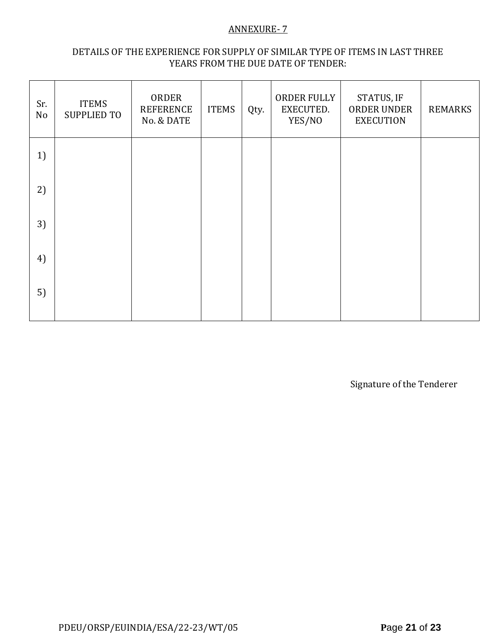#### ANNEXURE- 7

#### DETAILS OF THE EXPERIENCE FOR SUPPLY OF SIMILAR TYPE OF ITEMS IN LAST THREE YEARS FROM THE DUE DATE OF TENDER:

| Sr.<br>No | <b>ITEMS</b><br><b>SUPPLIED TO</b> | ORDER<br><b>REFERENCE</b><br>No. & DATE | <b>ITEMS</b> | Qty. | ORDER FULLY<br>EXECUTED.<br>YES/NO | STATUS, IF<br>ORDER UNDER<br><b>EXECUTION</b> | <b>REMARKS</b> |
|-----------|------------------------------------|-----------------------------------------|--------------|------|------------------------------------|-----------------------------------------------|----------------|
| 1)        |                                    |                                         |              |      |                                    |                                               |                |
| 2)        |                                    |                                         |              |      |                                    |                                               |                |
| 3)        |                                    |                                         |              |      |                                    |                                               |                |
| 4)        |                                    |                                         |              |      |                                    |                                               |                |
| 5)        |                                    |                                         |              |      |                                    |                                               |                |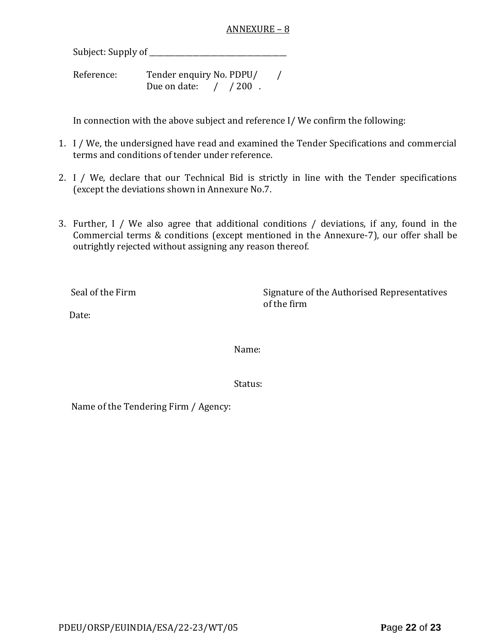#### ANNEXURE – 8

Subject: Supply of \_\_\_\_\_\_\_\_\_\_\_\_\_\_\_\_\_\_\_\_\_\_\_\_\_\_\_\_\_\_\_\_\_\_\_\_\_\_

Reference: Tender enquiry No. PDPU/ / Due on date: / / 200.

In connection with the above subject and reference I/ We confirm the following:

- 1. I / We, the undersigned have read and examined the Tender Specifications and commercial terms and conditions of tender under reference.
- 2. I / We, declare that our Technical Bid is strictly in line with the Tender specifications (except the deviations shown in Annexure No.7.
- 3. Further, I / We also agree that additional conditions / deviations, if any, found in the Commercial terms & conditions (except mentioned in the Annexure-7), our offer shall be outrightly rejected without assigning any reason thereof.

Seal of the Firm Signature of the Authorised Representatives of the firm

Date:

Name:

Status:

Name of the Tendering Firm / Agency: